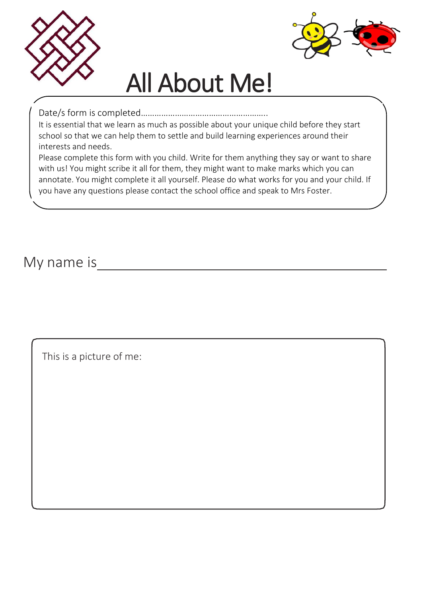



## All About Me!

Date/s form is completed………………………………………………..

It is essential that we learn as much as possible about your unique child before they start school so that we can help them to settle and build learning experiences around their interests and needs.

Please complete this form with you child. Write for them anything they say or want to share with us! You might scribe it all for them, they might want to make marks which you can annotate. You might complete it all yourself. Please do what works for you and your child. If you have any questions please contact the school office and speak to Mrs Foster.

My name is

This is a picture of me: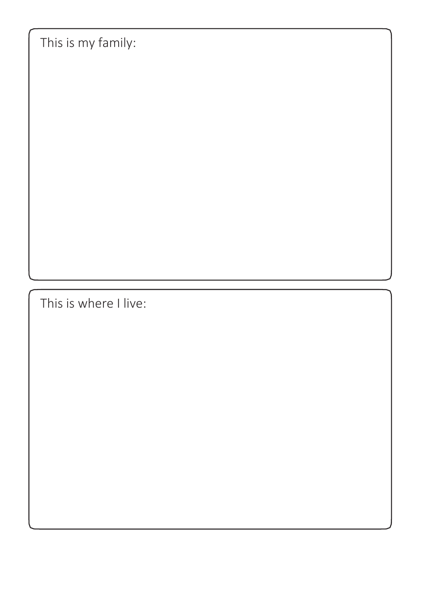This is my family:

This is where I live: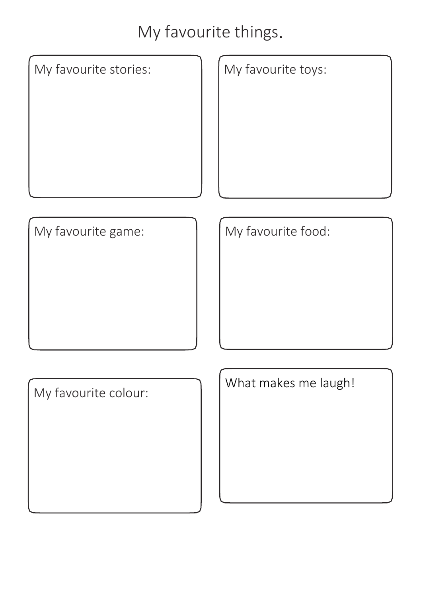## My favourite things.

My favourite stories:  $\left| \begin{array}{c} | \\ | \end{array} \right|$  My favourite toys:

My favourite game:  $\begin{array}{|c|c|c|c|c|} \hline \text{My favourable food:} \end{array}$ 

My favourite colour:

What makes me laugh!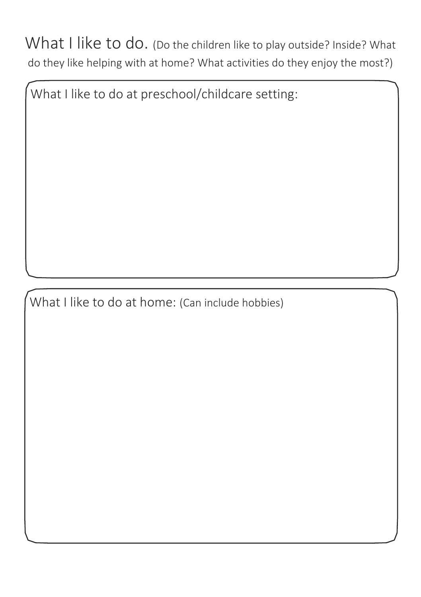What I like to do. (Do the children like to play outside? Inside? What do they like helping with at home? What activities do they enjoy the most?)

What I like to do at preschool/childcare setting:

What I like to do at home: (Can include hobbies)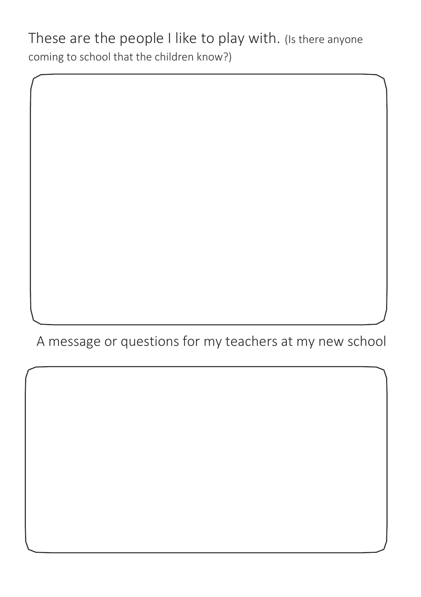These are the people I like to play with. (Is there anyone coming to school that the children know?)

A message or questions for my teachers at my new school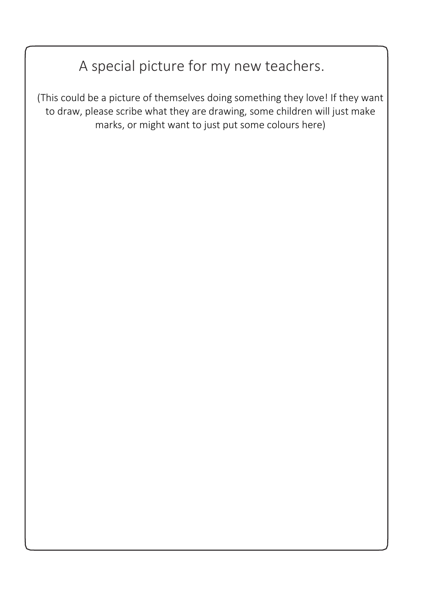## A special picture for my new teachers.

(This could be a picture of themselves doing something they love! If they want to draw, please scribe what they are drawing, some children will just make marks, or might want to just put some colours here)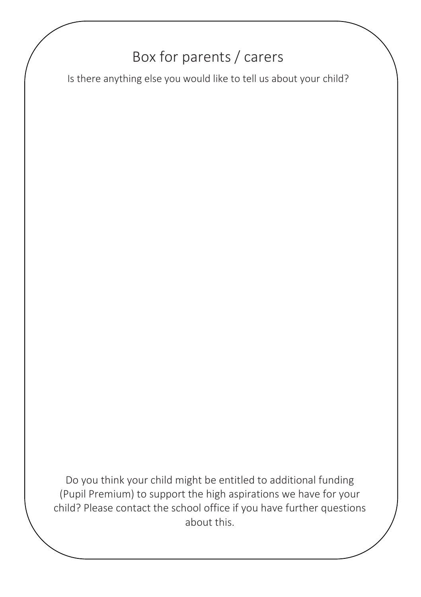## Box for parents / carers

Is there anything else you would like to tell us about your child?

Do you think your child might be entitled to additional funding (Pupil Premium) to support the high aspirations we have for your child? Please contact the school office if you have further questions about this.